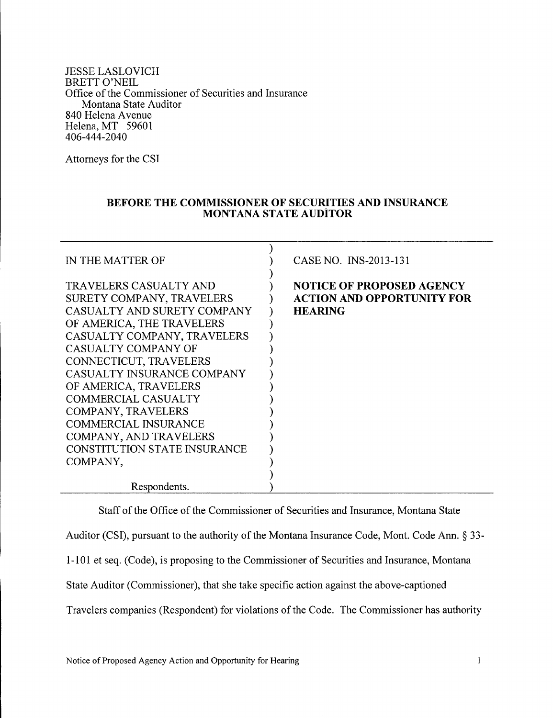JESSE LASLOVICH BRETT O'NEIL Office of the Commissioner of Securities and Insurance Montana State Auditor 840 Helena Avenue Helena, MT 59601 406-444-2040

Attorneys for the CSI

## **BEFORE THE COMMISSIONER OF SECURITIES AND INSURANCE MONTANA STATE AUDiTOR**

| IN THE MATTER OF                                                                                                                                                                                                                                                                                                                                                                                                              | CASE NO. INS-2013-131                                                                   |
|-------------------------------------------------------------------------------------------------------------------------------------------------------------------------------------------------------------------------------------------------------------------------------------------------------------------------------------------------------------------------------------------------------------------------------|-----------------------------------------------------------------------------------------|
| <b>TRAVELERS CASUALTY AND</b><br>SURETY COMPANY, TRAVELERS<br>CASUALTY AND SURETY COMPANY<br>OF AMERICA, THE TRAVELERS<br>CASUALTY COMPANY, TRAVELERS<br>CASUALTY COMPANY OF<br>CONNECTICUT, TRAVELERS<br>CASUALTY INSURANCE COMPANY<br>OF AMERICA, TRAVELERS<br><b>COMMERCIAL CASUALTY</b><br>COMPANY, TRAVELERS<br><b>COMMERCIAL INSURANCE</b><br>COMPANY, AND TRAVELERS<br><b>CONSTITUTION STATE INSURANCE</b><br>COMPANY, | <b>NOTICE OF PROPOSED AGENCY</b><br><b>ACTION AND OPPORTUNITY FOR</b><br><b>HEARING</b> |
| Respondents.                                                                                                                                                                                                                                                                                                                                                                                                                  |                                                                                         |

Staff of the Office of the Commissioner of Securities and Insurance, Montana State Auditor (CSI), pursuant to the authority of the Montana Insurance Code, Mont. Code Ann. § 33-1-101 et seq. (Code), is proposing to the Commissioner of Securities and Insurance, Montana State Auditor (Commissioner), that she take specific action against the above-captioned Travelers companies (Respondent) for violations of the Code. The Commissioner has authority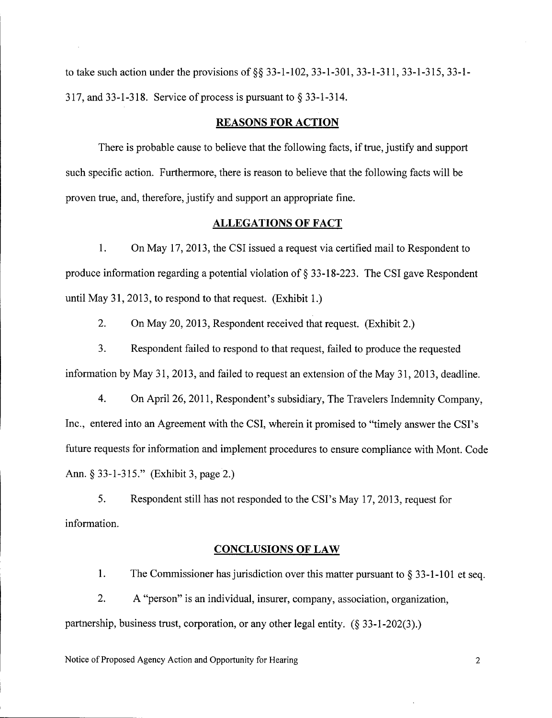to take such action under the provisions of §§ 33-1-102, 33-1-301, 33-1-311, 33-1-315, 33-1-317, and 33-1-318. Service of process is pursuant to  $\S$  33-1-314.

### **REASONS FOR ACTION**

There is probable cause to believe that the following facts, if true, justify and support such specific action. Furthermore, there is reason to believe that the following facts will be proven true, and, therefore, justify and support an appropriate fine.

## **ALLEGATIONS OF FACT**

1. On May 17, 2013, the CSI issued a request via certified mail to Respondent to produce information regarding a potential violation of  $\S$  33-18-223. The CSI gave Respondent until May 31, 2013, to respond to that request. (Exhibit 1.)

2. On May 20, 2013, Respondent received that request. (Exhibit 2.)

3. Respondent failed to respond to that request, failed to produce the requested information by May 31, 2013, and failed to request an extension of the May 31, 2013, deadline.

4. On April 26, 2011, Respondent's subsidiary, The Travelers Indemnity Company, Inc., entered into an Agreement with the CSI, wherein it promised to "timely answer the CSI's future requests for information and implement procedures to ensure compliance with Mont. Code Ann. § 33-1-315." (Exhibit 3, page 2.)

5. Respondent still has not responded to the CSI's May 17,2013, request for information.

### **CONCLUSIONS OF LAW**

1. The Commissioner has jurisdiction over this matter pursuant to  $\S 33$ -1-101 et seq.

2. A "person" is an individual, insurer, company, association, organization, partnership, business trust, corporation, or any other legal entity.  $(\S 33-1-202(3))$ .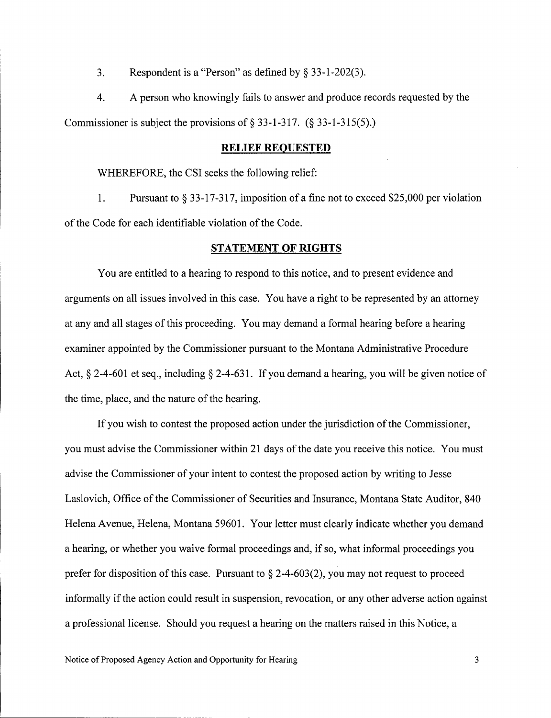3. Respondent is a "Person" as defined by  $\S$  33-1-202(3).

4. A person who knowingly fails to answer and produce records requested by the Commissioner is subject the provisions of  $\S$  33-1-317. ( $\S$  33-1-315(5).)

### **RELIEF REQUESTED**

WHEREFORE, the CSI seeks the following relief:

1. Pursuant to  $\S 33-17-317$ , imposition of a fine not to exceed \$25,000 per violation of the Code for each identifiable violation of the Code.

### **STATEMENT OF RIGHTS**

You are entitled to a hearing to respond to this notice, and to present evidence and arguments on all issues involved in this case. You have a right to be represented by an attorney at any and all stages of this proceeding. You may demand a formal hearing before a hearing examiner appointed by the Commissioner pursuant to the Montana Administrative Procedure Act,  $\S$  2-4-601 et seq., including  $\S$  2-4-631. If you demand a hearing, you will be given notice of the time, place, and the nature of the hearing.

If you wish to contest the proposed action under the jurisdiction of the Commissioner, you must advise the Commissioner within 21 days of the date you receive this notice. You must advise the Commissioner of your intent to contest the proposed action by writing to Jesse Laslovich, Office of the Commissioner of Securities and Insurance, Montana State Auditor, 840 Helena Avenue, Helena, Montana 59601. Your letter must clearly indicate whether you demand a hearing, or whether you waive formal proceedings and, if so, what informal proceedings you prefer for disposition of this case. Pursuant to  $\S$  2-4-603(2), you may not request to proceed informally if the action could result in suspension, revocation, or any other adverse action against a professional license. Should you request a hearing on the matters raised in this Notice, a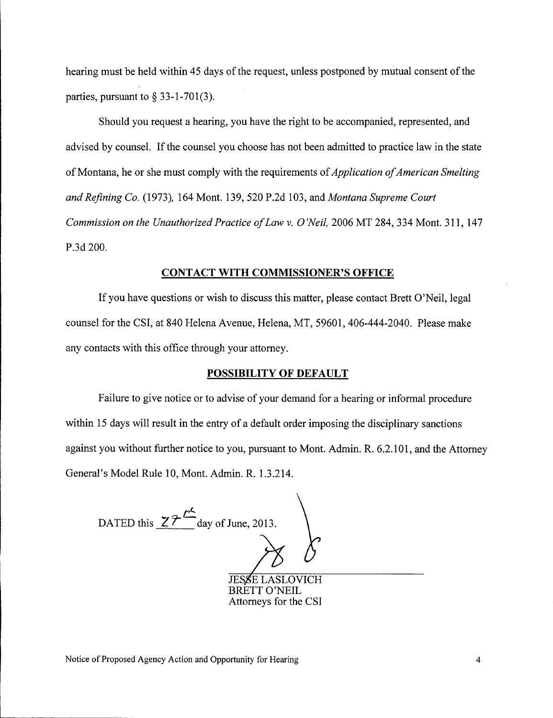hearing must be held within 45 days of the request, unless postponed by mutual consent of the parties, pursuant to  $\S$  33-1-701(3).

Should you request a hearing, you have the right to be accompanied, represented, and advised by counsel. If the counsel you choose has not been admitted to practice law in the state of Montana, he or she must comply with the requirements of *Application of American Smelting and Refining Co.* (1973), 164 Mont. 139,520 P.2d 103, and *Montana Supreme Court Commission on the Unauthorized Practice of Law* v. *O'Neil,* 2006 MT 284,334 Mont. 311,147 P.3d 200.

### **CONTACT WITH COMMISSIONER'S OFFICE**

If you have questions or wish to discuss this matter, please contact Brett O'Neil, legal counsel for the CSI, at 840 Helena Avenue, Helena, MT, 59601, 406-444-2040. Please make any contacts with this office through your attorney.

### **POSSIBILITY OF DEFAULT**

Failure to give notice or to advise of your demand for a hearing or informal procedure within 15 days will result in the entry of a default order imposing the disciplinary sanctions against you without further notice to you, pursuant to Mont. Admin. R. 6.2.101, and the Attorney General's Model Rule 10, Mont. Admin. R. 1.3.214.

*C* DATED this  $Z\overline{Z}$   $\overline{Z}$  day of June, 2013. Manc, 2015.

BRETT O'NEIL Attorneys for the CSI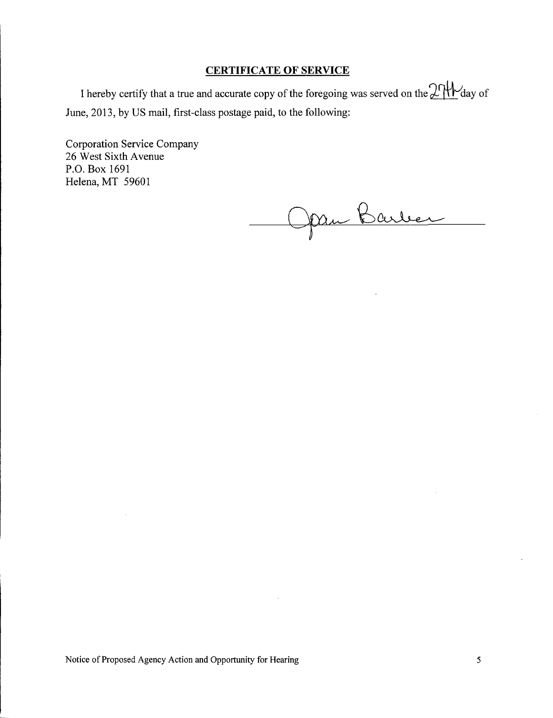## **CERTIFICATE OF SERVICE**

I hereby certify that a true and accurate copy of the foregoing was served on the  $2 \mathcal{H}$  day of June, 2013, by US mail, first-class postage paid, to the following:

Corporation Service Company 26 West Sixth Avenue P,O. Box 1691 Helena, MT 59601

Jan Barber

Notice of Proposed Agency Action and Opportunity for Hearing 5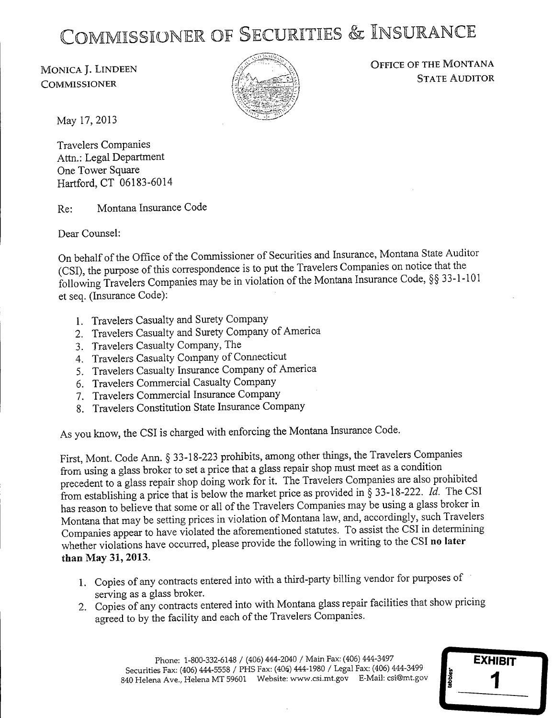# COMMISSIONER OF SECURITIES & INSURANCE

MONICA J. LINDEEN **COMMISSIONER** 



OFFICE OF THE MONTANA STATE AUDITOR

**EXHIBIT**

1

-

May 17,2013

Travelers Companies Attn.: Legal Department One Tower Square Hartford, CT 06183-6014

Re: Montana Insurance Code

Dear Counsel:

On behalf of the Office of the Commissioner of Securities and Insurance, Montana State Auditor (CSI), the purpose of this correspondence is to put the Travelers Companies on notice that the following Travelers Companies may be in violation of the Montana Insurance Code, SS 33-1-101 et seq. (Insurance Code):

- 1. Travelers Casualty and Surety Company
- 2. Travelers Casualty and Surety Company of America
- 3. Travelers Casualty Company, The
- 4. Travelers Casualty Company of Connecticut
- 5. Travelers Casualty Insurance Company of America
- 6. Travelers Commercial Casualty Company
- 7. Travelers Commercial Insurance Company
- 8. Travelers Constitution State Insurance Company

As you know, the CSI is charged with enforcing the Montana Insurance Code.

First, Mont. Code Ann. <sup>S</sup> 33-18-223 prohibits, among other things, the Travelers Companies from using a glass broker to set a price that a glass repair shop must meet as a condition precedent to a glass repair shop doing work for it. The Travelers Companies are also prohibited from establishing a price that is below the market price as provided in  $\S$  33-18-222. *Id.* The CSI has reason to believe that some or all of the Travelers Companies may be using a glass broker in Montana that may be setting prices in violation of Montana law, and, accordingly, such Travelers Companies appear to have violated the aforementioned statutes. To assist the CSI in determining whether violations have occurred, please provide the following in writing to the CSI **no later than** May **31,** 2013.

- 1. Copies of any contracts entered into with a third-party billing vendor for purposes of serving as a glass broker.
- 2. Copies of any contracts entered into with Montana glass repair facilities that show pricing agreed to by the facility and each of the Travelers Companies.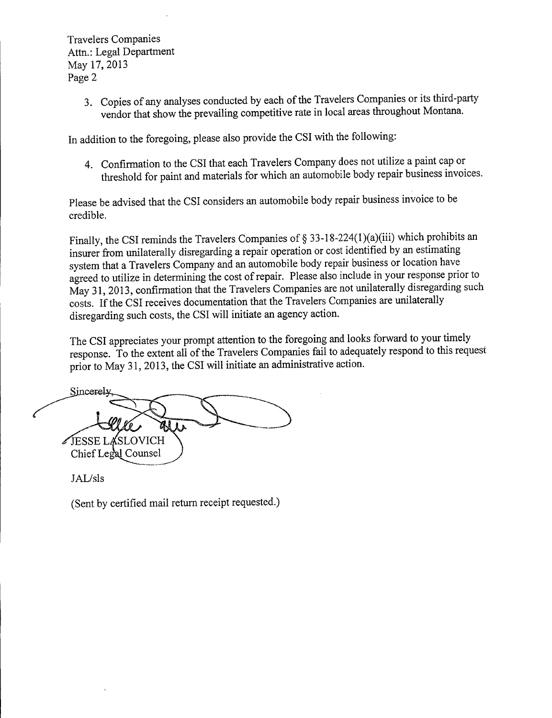Travelers Companies Attn.: Legal Department May 17,2013 Page 2

> 3. Copies of any analyses conducted by each of the Travelers Companies or its third-party vendor that show the prevailing competitive rate in local areas throughout Montana.

In addition to the foregoing, please also provide the CSI with the following:

4. Confirmation to the CSI that each Travelers Company does not utilize a paint cap or threshold for paint and materials for which an automobile body repair business invoices.

Please be advised that the CSI considers an automobile body repair business invoice to be credible.

Finally, the CSI reminds the Travelers Companies of  $\S 33-18-224(1)(a)(iii)$  which prohibits an insurer from unilaterally disregarding a repair operation or cost identified by an estimating system that a Travelers Company and an automobile body repair business or location have agreed to utilize in determining the cost of repair. Please also include in your response prior to May 31, 2013, confirmation that the Travelers Companies are not unilaterally disregarding such costs. If the CSI receives documentation that the Travelers Companies are unilaterally disregarding such costs, the CSI will initiate an agency action.

The CSI appreciates your prompt attention to the foregoing and looks forward to your timely response. To the extent all of the Travelers Companies fail to adequately respond to this request prior to May 31, 2013, the CSI will initiate an administrative action.

Sincerely **SESSE LASLOVICH** Chief Legal Counsel

JAL/sls

(Sent by certified mail return receipt requested.)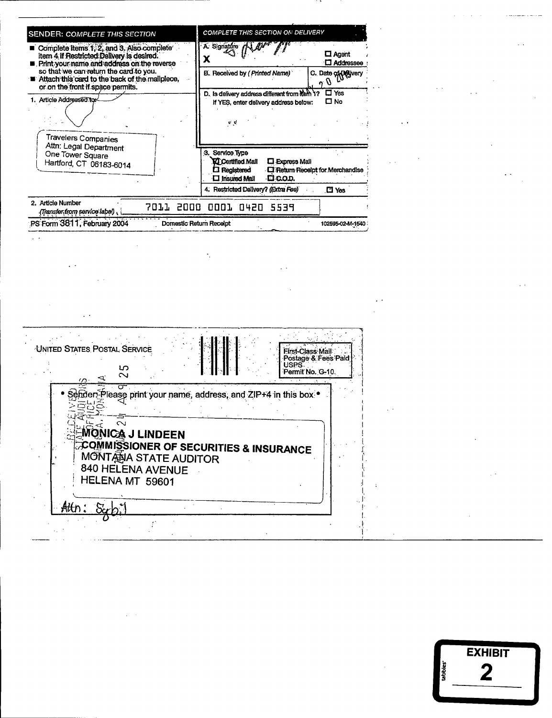| <b>SENDER: COMPLETE THIS SECTION</b>                                                                                                                                                                                                                                  | <b>COMPLETE THIS SECTION ON DELIVERY</b>                                                                                                                                  |
|-----------------------------------------------------------------------------------------------------------------------------------------------------------------------------------------------------------------------------------------------------------------------|---------------------------------------------------------------------------------------------------------------------------------------------------------------------------|
| Complete Items 1, 2, and 3. Also complete<br>item 4 if Restricted Delivery is desired.<br>Print your name and address on the reverse<br>so that we can return the card to you.<br>Attach this card to the back of the mailplece,<br>or on the front if space permits. | A Signature /<br>$\Box$ Agent<br><b>CI</b> Addressee<br>B. Received by (Printed Name)<br>C. Date of $\theta$ silvery                                                      |
| 1. Article Addressed to:<br>Travelers Companies                                                                                                                                                                                                                       | $\square$ Yes<br>D. Is delivery address different from Rein 1?<br>$\square$ No<br>If YES, enter delivery address below:<br>$\mathbf{c}$ , $\mathbf{c}$<br>$\cdot$ $\cdot$ |
| Attn: Legal Department<br>One Tower Square<br>Hartford, CT 06183-6014                                                                                                                                                                                                 | 3. Service Type<br>L. Express Mail<br><b>VI</b> Certified Mail<br>$\square$ Registered<br><b>CI</b> Return Receipt for Merchandise<br>CI COD.<br>$\square$ Insured Mail   |
| 2. Article Number                                                                                                                                                                                                                                                     | 4. Restricted Delivery? (Extra Fee)<br>$\square$ Yes                                                                                                                      |
| (Transfer from service label)                                                                                                                                                                                                                                         | 7011 2000 0001 0420 5539                                                                                                                                                  |
| PS Form 3811, February 2004                                                                                                                                                                                                                                           | Domestic Return Receipt<br>102595-02-M-1540                                                                                                                               |

 $\frac{1}{\sqrt{2}}\int_{0}^{\sqrt{2}}\frac{1}{\sqrt{2}}\left(\frac{1}{\sqrt{2}}\right)^{2}d\mu\left(\frac{1}{2}\right)dx$ 

 $\mathcal{L}_{\mathcal{A}}$  and  $\mathcal{L}_{\mathcal{A}}$  and  $\mathcal{L}_{\mathcal{A}}$ 

 $\label{eq:2.1} \mathcal{L}(\mathcal{L}^{\text{max}}_{\mathcal{L}}(\mathcal{L}^{\text{max}}_{\mathcal{L}})) \leq \mathcal{L}(\mathcal{L}^{\text{max}}_{\mathcal{L}}(\mathcal{L}^{\text{max}}_{\mathcal{L}}))$ 

 $\label{eq:2.1} \mathcal{L}(\mathcal{L}^{\text{max}}_{\mathcal{L}}(\mathcal{L}^{\text{max}}_{\mathcal{L}}(\mathcal{L}^{\text{max}}_{\mathcal{L}}(\mathcal{L}^{\text{max}}_{\mathcal{L}^{\text{max}}_{\mathcal{L}}(\mathcal{L}^{\text{max}}_{\mathcal{L}^{\text{max}}_{\mathcal{L}^{\text{max}}_{\mathcal{L}^{\text{max}}_{\mathcal{L}^{\text{max}}_{\mathcal{L}^{\text{max}}_{\mathcal{L}^{\text{max}}_{\mathcal{L}^{\text{max}}_{\mathcal{L}^{\text{max}}$ 

| UNITED STATES POSTAL SERVICE<br>First-Class Mail<br>Postage & Fees Paid<br>USPS <sup>T</sup><br>S<br>Permit No. G-10.<br>$\sim$<br>$\sigma$                                                                                  |  |  |
|------------------------------------------------------------------------------------------------------------------------------------------------------------------------------------------------------------------------------|--|--|
| రా<br>Sender-Please print your name, address, and ZIP+4 in this box .<br>$\sim$<br>ONICA J LINDEEN<br>COMMISSIONER OF SECURITIES & INSURANCE<br>MONTANA STATE AUDITOR<br>840 HELENA AVENUE<br>HELENA MT 59601<br>Attn: Scrb. |  |  |

 $\mathcal{L}(\mathcal{A})$  and  $\mathcal{L}(\mathcal{A})$ 

|                      | <b>EXHIBIT</b> |
|----------------------|----------------|
| tabbles <sup>-</sup> |                |
|                      |                |

 $\mathcal{L}(\mathcal{A})$ 

 $\sqrt{s}$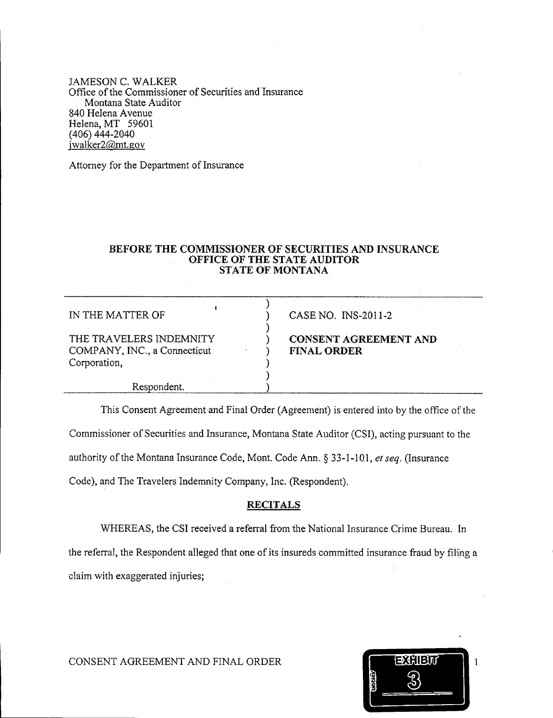JAMESON C. WALKER Office of the Commissioner of Securities and Insurance Montana State Auditor . 840 Helena Avenue Helena, MT 59601 (406) 444-2040 jwalker2@mt.gov

Attorney for the Department of Insurance

### **BEFORE THE COMMISSIONER OF SECURITIES AND INSURANCE OFFICE OF** THE STATE **AUDITOR STATE .oF MONTANA**

) ) ) ) ) ) ) )

IN THE MATTER OF

THE TRAVELERS INDEMNITY COMPANY, INC., a Connecticut Corporation,

CASE NO. INS-2011-2

## **CONSENT AGREEMENT AND** FINAL ORDER

Respondent.

This Consent Agreement and Final Order (Agreement) is entered into by the office of the

Commissioner of Securities and Insurance, Montana State Auditor (CSI), acting pursuant to the

authority of the Montana Insurance Code, Mont. Code Ann. & 33-1-1OJ, *et seq.* (Insurance

Code), and The Travelers Indemnity Company, Inc. (Respondent).

## **RECITALS**

WHEREAS, the CSI received a referral from the National Insurance Crime Bureau. in

the referral, the Respondent alleged that one of its insureds committed insurance fraud by filing a claim with exaggerated injuries;

|         | <b>XHIBI</b><br>∌ |  |
|---------|-------------------|--|
| tabbles |                   |  |
|         |                   |  |

CONSENT AGREEMENT AND FINAL ORDER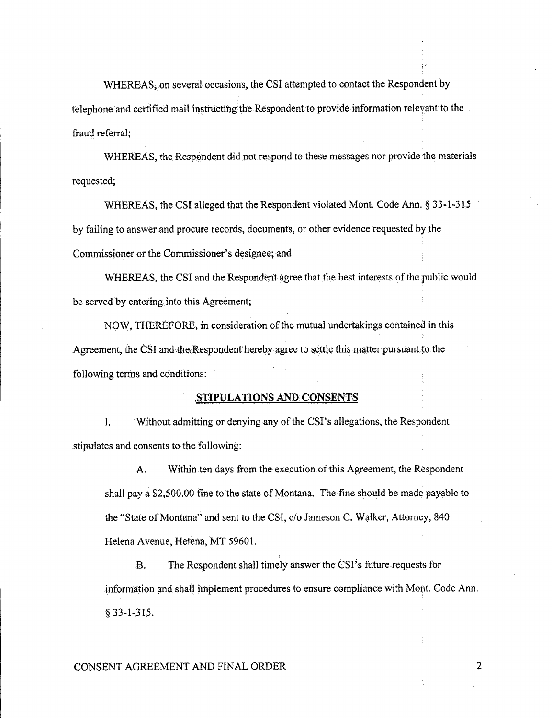WHEREAS; on several occasions, the CSI attempted to contact the Respondent by telephone and certified mail instructing the Respondent to provide information relevant to the fraud referral;

WHEREAS, the Respondent did not respond to these messages nor provide the materials requested;

WHEREAS, the CSI alleged that the Respondent violated Mont. Code Ann. § 33-1-315 by failing to answer and procure records, documents, or other evidence requested by the Commissioner or the Commissioner's designee; and

WHEREAS, the CSI and the Respondent agree that the best interests of the public would be served by entering into this Agreement;

NOW, THEREFORE, in consideration of the mutual undertakings contained in this Agreement, the CSI and the Respondent hereby agree to settle this matter pursuant to the following terms and conditions:

#### **,8r.•.. pULATTONS AND CONSENTS**

I. Without admitting or denying any of the CSI's allegations, the Respondent stipulates and consents to the following:

A. Within.ten days from the execution of this Agreement, the Respondent shall pay a \$2,500.00 fine to the state of Montana. The fine should be made payable to the "State of Montana" and sent to the *CSI,c/o* Jameson C. Walker, Attorney, 840 Helena Avenue, Helena, MT 59601.

B. The Respondent shall timely answer the CSI's future requests for information and shall implement procedures to ensure compliance with Mont. Code Ann.  $$33-1-315.$ 

### CONSENT AGREEMENT AND FINAL ORDER 2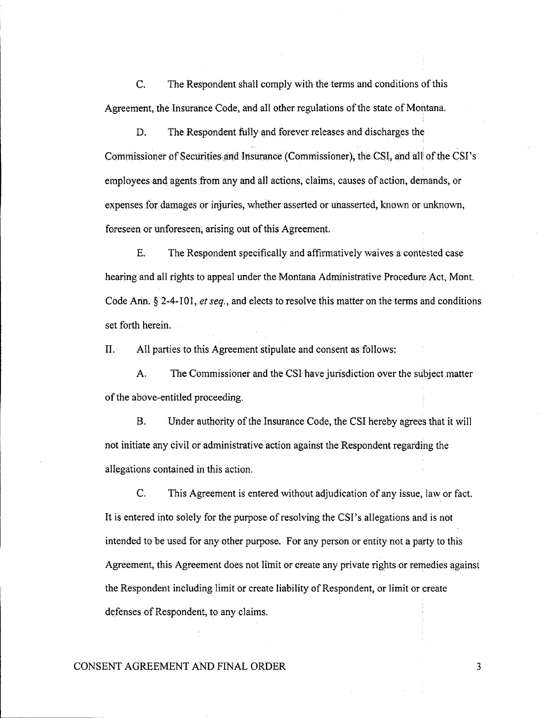$\mathcal{C}$ . The Respondent shall comply with the terms and conditions of this Agreement, the Insurance Code, and all other regulations of the state of Montana.

D. The Respondent fully and forever releases and discharges the Commissioner of Securities and Insurance (Commissioner), the CSI, and all of the CSI's employees and agents from any and all actions, claims, causes of action, demands, or expenses for damages or injuries, whether asserted or unasserted, known or unknown, foreseen or unforeseen, arising out of this Agreement.

E. The Respondent specifically and affirmatively waives a contested case hearing and all rights to appeal under the Montana Administrative Procedure Act, Mont. Code Ann.  $\S$  2-4-101, *et seq.*, and elects to resolve this matter on the terms and conditions set forth herein.

 $\Pi$ . All parties to this Agreement stipulate and consent as follows:

A. The Commissioner and the CSI have jurisdiction over the subject matter of the above-entitled proceeding.

**B.** Under authority of the Insurance Code, the CSI hereby agrees that it will not initiate any civil or administrative action against the Respondent regarding the allegations contained in this action.

 $C<sub>r</sub>$ This Agreement is entered without adjudication of any issue, law or fact. It is entered into solely for the purpose of resolving the CSI's allegations and is not intended to be used for any other purpose. For any person or entity not a party to this Agreement, this Agreement does not limit or create any private rights or remedies against the Respondent including limit or create liability of Respondent, or limit or create defenses of Respondent, to any claims.

### CONSENT AGREEMENT AND FINAL ORDER

 $\overline{3}$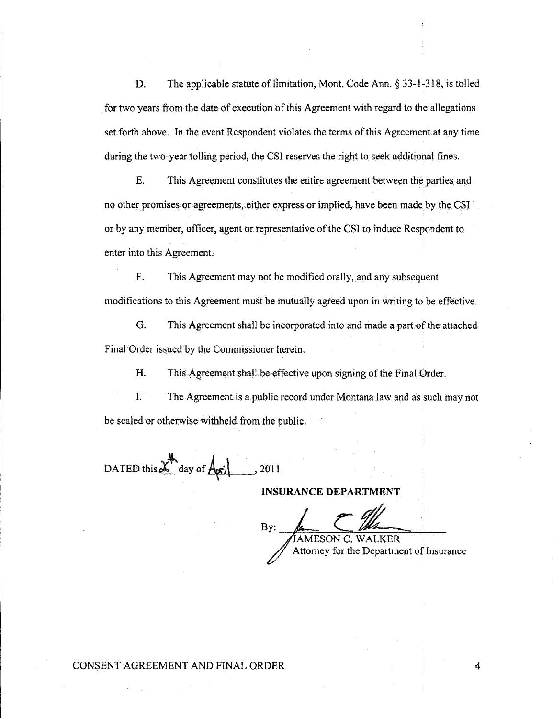D. The applicable statute of limitation, Mont. Code Ann.  $\S$  33-1-318, is tolled for two years from the date of execution of this Agreement with regard to the allegations set forth above. In the event Respondent violates the terms of this Agreement at any time during the two-year tolling period, the CSI reserves the right to seek additional fines.

E. This Agreement constitutes the entire agreement between the parties and no other promises or agreements, either express or implied, have been made by the CSI or by any member, officer, agent or representative of the CSI to induce Respondent to enter into this Agreement.

F. This Agreement may not be modified orally, and any subsequent modifications to this Agreement must be mutually agreed upon in writing to be effective.

G. This Agreement shall be incorporated into and made a part of the attached Final Order issued by the Commissioner herein.

H. This Agreement shall be effective upon signing of the Final Order.

L The Agreement is a public record under Montana Jaw and as such may not be sealed or otherwise withheld from the public.

DATED this  $\chi^{\mathsf{th}}$  day of  $A_{\mathsf{pri}}$ , 2011

**INSURANCE DEPARTMENT**

By: JAMESON EPARTMENT C. WALKER Attorney for the Department of Insurance

4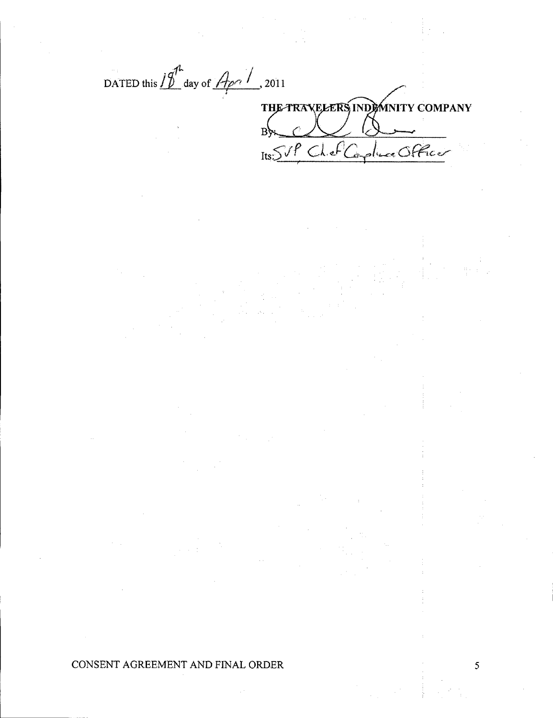DATED this  $10^{-4}$  day of  $\frac{A}{\sqrt{2}}$ , 2011 THE TRAVELERS INDOMINITY COMPANY  $\mathbf{B}$ Its SVP Chef Capture Officer

CONSENT AGREEMENT AND FINAL ORDER

5